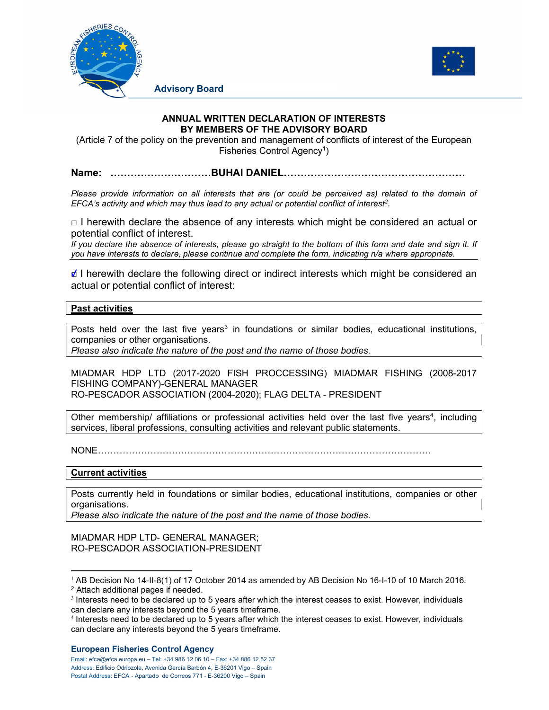



**Advisory Board**

## **ANNUAL WRITTEN DECLARATION OF INTERESTS BY MEMBERS OF THE ADVISORY BOARD**

(Article 7 of the policy on the prevention and management of conflicts of interest of the European Fisheries Control Agency<sup>1</sup>)

**Name: …………………………BUHAI DANIEL………………………………………………** 

*Please provide information on all interests that are (or could be perceived as) related to the domain of EFCA's activity and which may thus lead to any actual or potential conflict of interest2.* 

 $\Box$  I herewith declare the absence of any interests which might be considered an actual or potential conflict of interest.

*If you declare the absence of interests, please go straight to the bottom of this form and date and sign it. If you have interests to declare, please continue and complete the form, indicating n/a where appropriate.* 

 $\angle$  I herewith declare the following direct or indirect interests which might be considered an actual or potential conflict of interest:

## **Past activities**

Posts held over the last five years<sup>3</sup> in foundations or similar bodies, educational institutions, companies or other organisations.

*Please also indicate the nature of the post and the name of those bodies.* 

MIADMAR HDP LTD (2017-2020 FISH PROCCESSING) MIADMAR FISHING (2008-2017 FISHING COMPANY)-GENERAL MANAGER

RO-PESCADOR ASSOCIATION (2004-2020); FLAG DELTA - PRESIDENT

Other membership/ affiliations or professional activities held over the last five years<sup>4</sup>, including services, liberal professions, consulting activities and relevant public statements.

NONE………………………………………………………………………………………………

## **Current activities**

Posts currently held in foundations or similar bodies, educational institutions, companies or other organisations.

*Please also indicate the nature of the post and the name of those bodies.*

MIADMAR HDP LTD- GENERAL MANAGER; RO-PESCADOR ASSOCIATION-PRESIDENT

## **European Fisheries Control Agency**

Email: efca@efca.europa.eu – Tel: +34 986 12 06 10 – Fax: +34 886 12 52 37 Address: Edificio Odriozola, Avenida García Barbón 4, E-36201 Vigo – Spain Postal Address: EFCA - Apartado de Correos 771 - E-36200 Vigo – Spain

<sup>1</sup> AB Decision No 14-II-8(1) of 17 October 2014 as amended by AB Decision No 16-I-10 of 10 March 2016. 2 Attach additional pages if needed.

<sup>&</sup>lt;sup>3</sup> Interests need to be declared up to 5 years after which the interest ceases to exist. However, individuals can declare any interests beyond the 5 years timeframe.

<sup>4</sup> Interests need to be declared up to 5 years after which the interest ceases to exist. However, individuals can declare any interests beyond the 5 years timeframe.